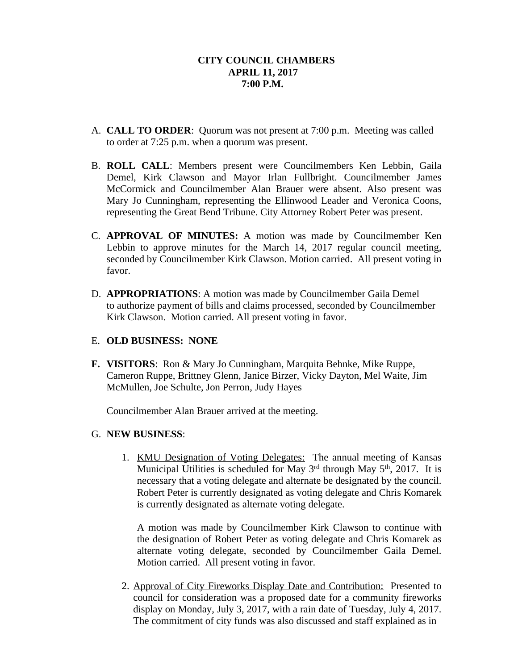- A. **CALL TO ORDER**: Quorum was not present at 7:00 p.m. Meeting was called to order at 7:25 p.m. when a quorum was present.
- B. **ROLL CALL**: Members present were Councilmembers Ken Lebbin, Gaila Demel, Kirk Clawson and Mayor Irlan Fullbright. Councilmember James McCormick and Councilmember Alan Brauer were absent. Also present was Mary Jo Cunningham, representing the Ellinwood Leader and Veronica Coons, representing the Great Bend Tribune. City Attorney Robert Peter was present.
- C. **APPROVAL OF MINUTES:** A motion was made by Councilmember Ken Lebbin to approve minutes for the March 14, 2017 regular council meeting, seconded by Councilmember Kirk Clawson. Motion carried. All present voting in favor.
- D. **APPROPRIATIONS**: A motion was made by Councilmember Gaila Demel to authorize payment of bills and claims processed, seconded by Councilmember Kirk Clawson. Motion carried. All present voting in favor.

## E. **OLD BUSINESS: NONE**

**F. VISITORS**: Ron & Mary Jo Cunningham, Marquita Behnke, Mike Ruppe, Cameron Ruppe, Brittney Glenn, Janice Birzer, Vicky Dayton, Mel Waite, Jim McMullen, Joe Schulte, Jon Perron, Judy Hayes

Councilmember Alan Brauer arrived at the meeting.

## G. **NEW BUSINESS**:

1. KMU Designation of Voting Delegates: The annual meeting of Kansas Municipal Utilities is scheduled for May 3<sup>rd</sup> through May 5<sup>th</sup>, 2017. It is necessary that a voting delegate and alternate be designated by the council. Robert Peter is currently designated as voting delegate and Chris Komarek is currently designated as alternate voting delegate.

A motion was made by Councilmember Kirk Clawson to continue with the designation of Robert Peter as voting delegate and Chris Komarek as alternate voting delegate, seconded by Councilmember Gaila Demel. Motion carried. All present voting in favor.

2. Approval of City Fireworks Display Date and Contribution: Presented to council for consideration was a proposed date for a community fireworks display on Monday, July 3, 2017, with a rain date of Tuesday, July 4, 2017. The commitment of city funds was also discussed and staff explained as in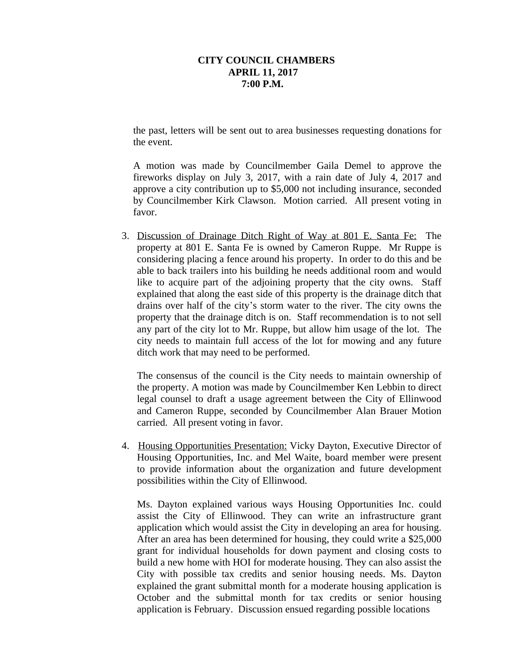the past, letters will be sent out to area businesses requesting donations for the event.

A motion was made by Councilmember Gaila Demel to approve the fireworks display on July 3, 2017, with a rain date of July 4, 2017 and approve a city contribution up to \$5,000 not including insurance, seconded by Councilmember Kirk Clawson. Motion carried. All present voting in favor.

3. Discussion of Drainage Ditch Right of Way at 801 E. Santa Fe: The property at 801 E. Santa Fe is owned by Cameron Ruppe. Mr Ruppe is considering placing a fence around his property. In order to do this and be able to back trailers into his building he needs additional room and would like to acquire part of the adjoining property that the city owns. Staff explained that along the east side of this property is the drainage ditch that drains over half of the city's storm water to the river. The city owns the property that the drainage ditch is on. Staff recommendation is to not sell any part of the city lot to Mr. Ruppe, but allow him usage of the lot. The city needs to maintain full access of the lot for mowing and any future ditch work that may need to be performed.

The consensus of the council is the City needs to maintain ownership of the property. A motion was made by Councilmember Ken Lebbin to direct legal counsel to draft a usage agreement between the City of Ellinwood and Cameron Ruppe, seconded by Councilmember Alan Brauer Motion carried. All present voting in favor.

4. Housing Opportunities Presentation: Vicky Dayton, Executive Director of Housing Opportunities, Inc. and Mel Waite, board member were present to provide information about the organization and future development possibilities within the City of Ellinwood.

Ms. Dayton explained various ways Housing Opportunities Inc. could assist the City of Ellinwood. They can write an infrastructure grant application which would assist the City in developing an area for housing. After an area has been determined for housing, they could write a \$25,000 grant for individual households for down payment and closing costs to build a new home with HOI for moderate housing. They can also assist the City with possible tax credits and senior housing needs. Ms. Dayton explained the grant submittal month for a moderate housing application is October and the submittal month for tax credits or senior housing application is February. Discussion ensued regarding possible locations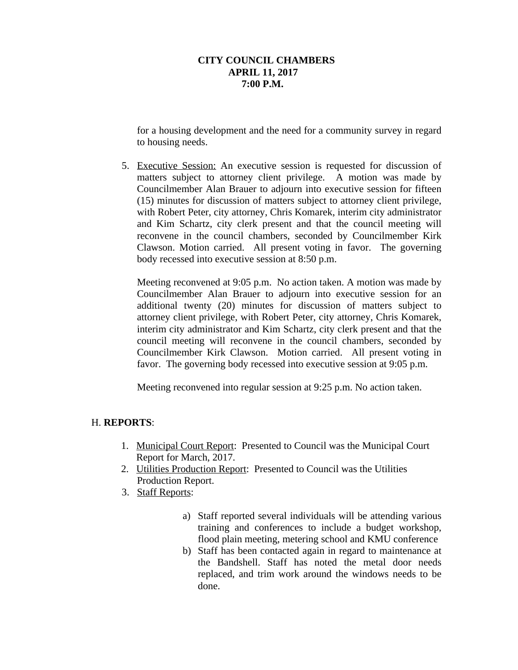for a housing development and the need for a community survey in regard to housing needs.

5. Executive Session: An executive session is requested for discussion of matters subject to attorney client privilege. A motion was made by Councilmember Alan Brauer to adjourn into executive session for fifteen (15) minutes for discussion of matters subject to attorney client privilege, with Robert Peter, city attorney, Chris Komarek, interim city administrator and Kim Schartz, city clerk present and that the council meeting will reconvene in the council chambers, seconded by Councilmember Kirk Clawson. Motion carried. All present voting in favor. The governing body recessed into executive session at 8:50 p.m.

Meeting reconvened at 9:05 p.m. No action taken. A motion was made by Councilmember Alan Brauer to adjourn into executive session for an additional twenty (20) minutes for discussion of matters subject to attorney client privilege, with Robert Peter, city attorney, Chris Komarek, interim city administrator and Kim Schartz, city clerk present and that the council meeting will reconvene in the council chambers, seconded by Councilmember Kirk Clawson. Motion carried. All present voting in favor. The governing body recessed into executive session at 9:05 p.m.

Meeting reconvened into regular session at 9:25 p.m. No action taken.

# H. **REPORTS**:

- 1. Municipal Court Report: Presented to Council was the Municipal Court Report for March, 2017.
- 2. Utilities Production Report: Presented to Council was the Utilities Production Report.
- 3. Staff Reports:
	- a) Staff reported several individuals will be attending various training and conferences to include a budget workshop, flood plain meeting, metering school and KMU conference
	- b) Staff has been contacted again in regard to maintenance at the Bandshell. Staff has noted the metal door needs replaced, and trim work around the windows needs to be done.